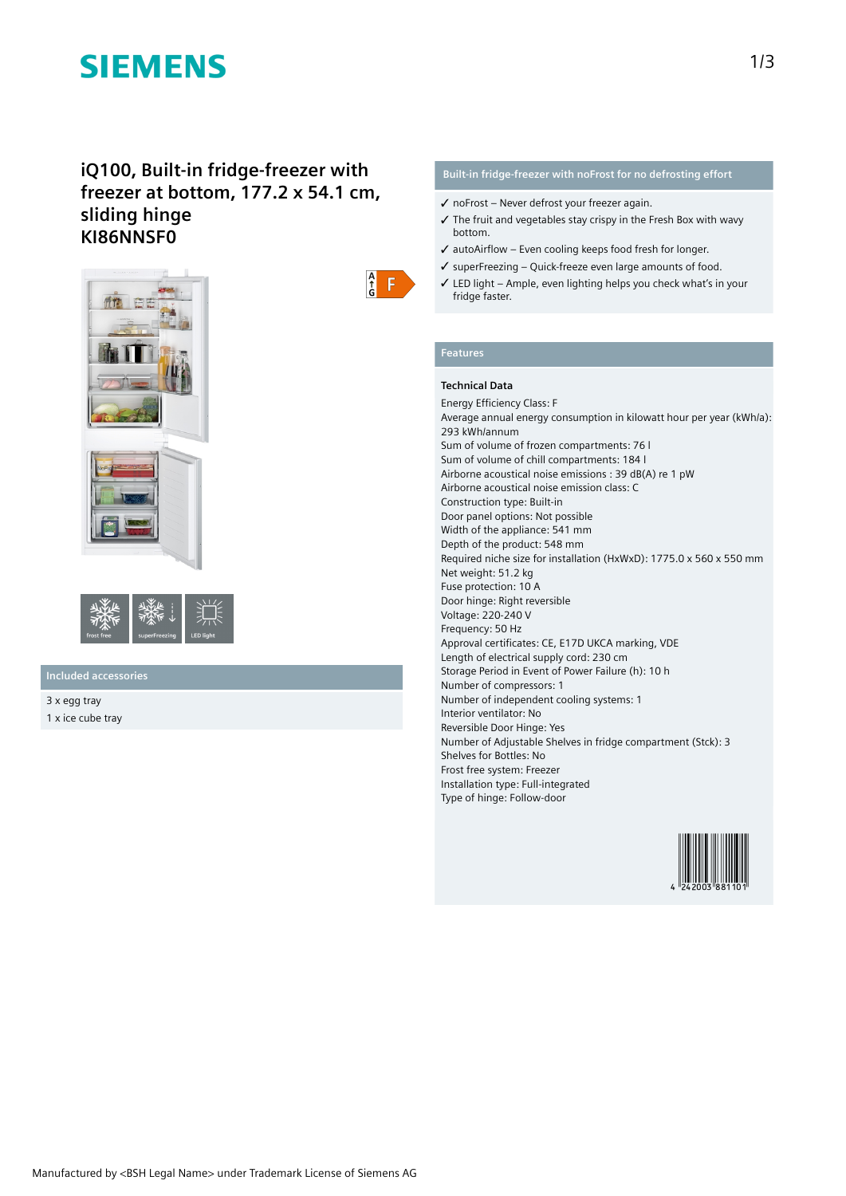# **SIEMENS**

## **iQ100, Built-in fridge-freezer with freezer at bottom, 177.2 x 54.1 cm, sliding hinge KI86NNSF0**





## **Included accessories**

3 x egg tray 1 x ice cube tray

## **Built-in fridge-freezer with noFrost for no defrosting effort**

- ✓ noFrost Never defrost your freezer again.
- $\checkmark$  The fruit and vegetables stay crispy in the Fresh Box with wavy bottom.
- ✓ autoAirflow Even cooling keeps food fresh for longer.
- ✓ superFreezing Quick-freeze even large amounts of food.
- ✓ LED light Ample, even lighting helps you check what's in your fridge faster.

# **Features**

 $\frac{A}{G}$  $\vert \mathsf{F} \vert$ 

### **Technical Data**

Energy Efficiency Class: F Average annual energy consumption in kilowatt hour per year (kWh/a): 293 kWh/annum Sum of volume of frozen compartments: 76 l Sum of volume of chill compartments: 184 l Airborne acoustical noise emissions : 39 dB(A) re 1 pW Airborne acoustical noise emission class: C Construction type: Built-in Door panel options: Not possible Width of the appliance: 541 mm Depth of the product: 548 mm Required niche size for installation (HxWxD): 1775.0 x 560 x 550 mm Net weight: 51.2 kg Fuse protection: 10 A Door hinge: Right reversible Voltage: 220-240 V Frequency: 50 Hz Approval certificates: CE, E17D UKCA marking, VDE Length of electrical supply cord: 230 cm Storage Period in Event of Power Failure (h): 10 h Number of compressors: 1 Number of independent cooling systems: 1 Interior ventilator: No Reversible Door Hinge: Yes Number of Adjustable Shelves in fridge compartment (Stck): 3 Shelves for Bottles: No Frost free system: Freezer Installation type: Full-integrated Type of hinge: Follow-door

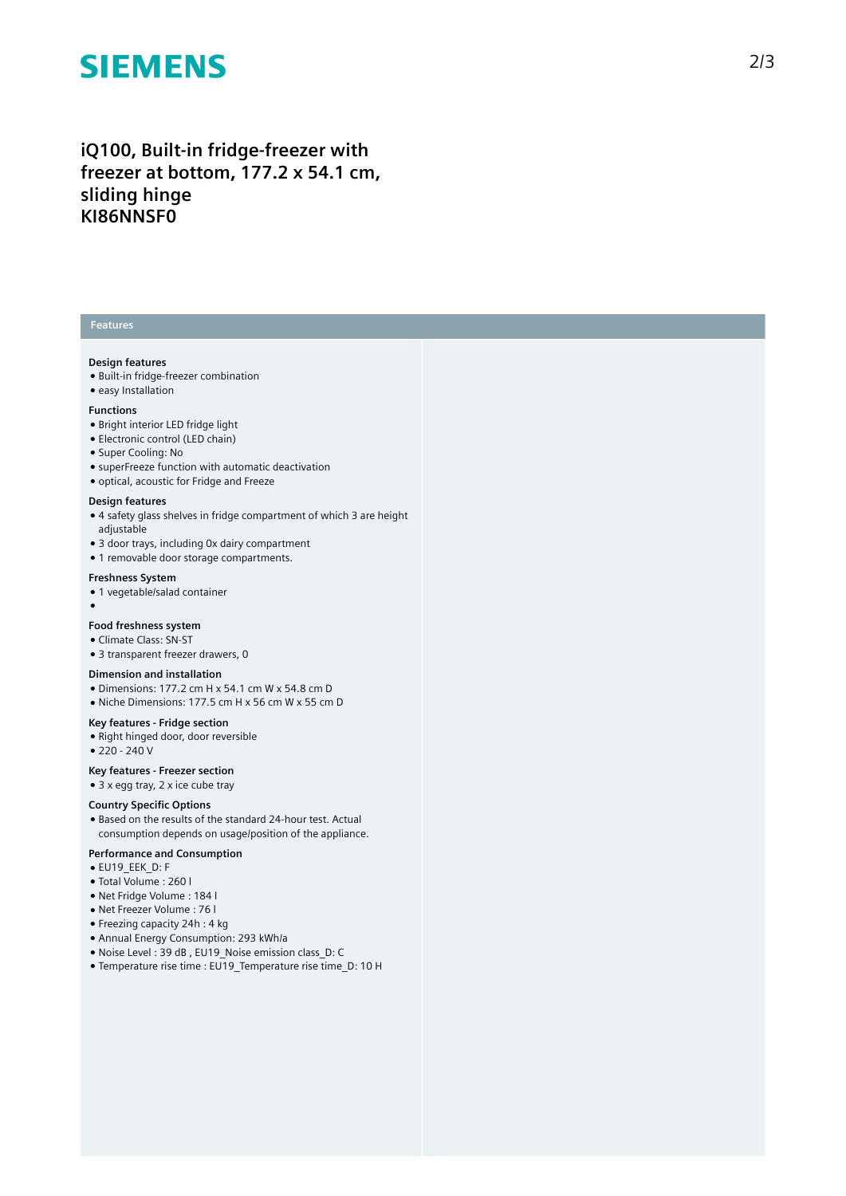# **SIEMENS**

iQ100, Built-in fridge-freezer with freezer at bottom, 177.2 x 54.1 cm, **s l i d i n g h i n g e KI86NNSF0**

### **Features**

### **Design features**

- Built-in fridge-freezer combination
- easy Installation

#### **F u n c t i o n s**

- Bright interior LED fridge light
- Electronic control (LED chain)
- Super Cooling: No
- superFreeze function with automatic deactivation
- optical, acoustic for Fridge and Freeze

#### Design features

- $\bullet$  4 safety glass shelves in fridge compartment of which 3 are height a d j u s t a ble
- 3 door trays, including 0x dairy compartment
- 1 removable door storage compartments.

#### **Freshness System**

- 1 vegetable/salad container
- ●

#### Food freshness system

- Climate Class: SN-ST
- 3 transparent freezer drawers, 0

#### **Dimension and installation**

- Dimensions: 177.2 cm H x 54.1 cm W x 54.8 cm D
- Niche Dimensions: 177.5 cm H x 56 cm W x 55 cm D

#### Key features - Fridge section

- Right hinged door, door reversible
- 220 240 V

#### **Key features - F r e e z e r s e c t i o n**

 $\bullet$  3 x egg tray, 2 x ice cube tray

#### **Country Specific Options**

• Based on the results of the standard 24-hour test. Actual consumption depends on usage/position of the applianc e .

#### Performance and Consumption

- EU19\_EEK\_D: F
- Total Volume : 2 6 0 l
- Net Fridge Volume : 1 8 4 l
- Net Freezer Volume : 76 l
- $\bullet$  Freezing capacity 24h : 4 kg
- Annual Energy Consumption: 293 kWh/a
- Noise Level : 39 dB , EU19\_Noise emission class\_D: C
- Temperature rise time : EU19 Temperature rise time D: 10 H